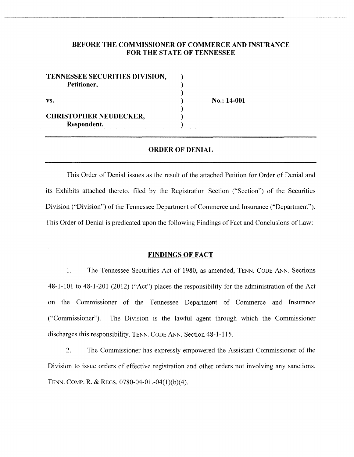### **BEFORE THE COMMISSIONER OF COMMERCE AND INSURANCE FOR THE STATE OF TENNESSEE**

| TENNESSEE SECURITIES DIVISION, |  |
|--------------------------------|--|
| Petitioner,<br>VS.             |  |
|                                |  |
|                                |  |
|                                |  |
| <b>CHRISTOPHER NEUDECKER,</b>  |  |
| Respondent.                    |  |

vs. No.: **14-001** 

#### **ORDER OF DENIAL**

This Order of Denial issues as the result of the attached Petition for Order of Denial and its Exhibits attached thereto, filed by the Registration Section ("Section") of the Securities Division ("Division") of the Tennessee Department of Commerce and Insurance ("Department"). This Order of Denial is predicated upon the following Findings of Fact and Conclusions of Law:

#### **FINDINGS OF FACT**

1. The Tennessee Securities Act of 1980, as amended, TENN. CODE ANN. Sections  $48-1-101$  to  $48-1-201$  (2012) ("Act") places the responsibility for the administration of the Act on the Commissioner of the Tennessee Department of Commerce and Insurance ("Commissioner"). The Division is the lawful agent through which the Commissioner discharges this responsibility. TENN. CODE ANN. Section 48-1-115.

2. The Commissioner has expressly empowered the Assistant Commissioner of the Division to issue orders of effective registration and other orders not involving any sanctions. TENN. COMP. R. & REGS. 0780-04-01.-04(1)(b)(4).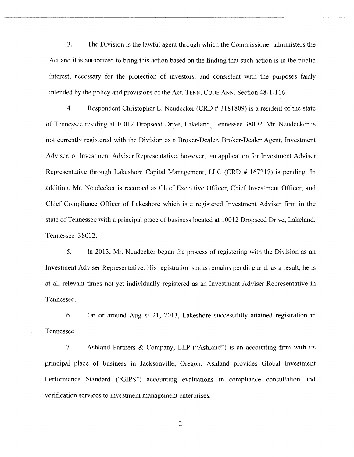3. The Division is the lawful agent through which the Commissioner administers the Act and it is authorized to bring this action based on the finding that such action is in the public interest, necessary for the protection of investors, and consistent with the purposes fairly intended by the policy and provisions of the Act. TENN. CODE ANN. Section 48-1-116.

4. Respondent Christopher L. Neudecker (CRD # 3181809) is a resident of the state of Tennessee residing at 10012 Dropseed Drive, Lakeland, Tennessee 38002. Mr. Neudecker is not currently registered with the Division as a Broker-Dealer, Broker-Dealer Agent, Investment Adviser, or Investment Adviser Representative, however, an application for Investment Adviser Representative through Lakeshore Capital Management, LLC (CRD # 167217) is pending. In addition, Mr. Neudecker is recorded as Chief Executive Officer, Chief Investment Officer, and Chief Compliance Officer of Lakeshore which is a registered Investment Adviser firm in the state of Tennessee with a principal place of business located at 10012 Dropseed Drive, Lakeland, Tennessee 38002.

5. In 2013, Mr. Neudecker began the process of registering with the Division as an Investment Adviser Representative. His registration status remains pending and, as a result, he is at all relevant times not yet individually registered as an Investment Adviser Representative in Tennessee.

6. On or around August 21, 2013, Lakeshore successfully attained registration in Tennessee.

7. Ashland Partners & Company, LLP ("Ashland") is an accounting firm with its principal place of business in Jacksonville, Oregon. Ashland provides Global Investment Performance Standard ("GIPS") accounting evaluations in compliance consultation and verification services to investment management enterprises.

2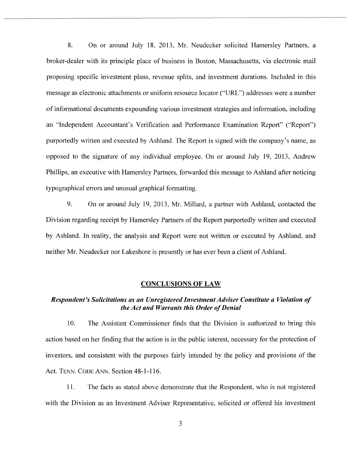8. On or around July 18, 2013, Mr. Neudecker solicited Hamersley Partners, a broker-dealer with its principle place of business in Boston, Massachusetts, via electronic mail proposing specific investment plans, revenue splits, and investment durations. Included in this message as electronic attachments or uniform resource locator ("URL") addresses were a number of informational documents expounding various investment strategies and information, including an "Independent Accountant's Verification and Performance Examination Report" ("Report") purportedly written and executed by Ashland. The Report is signed with the company's name, as opposed to the signature of any individual employee. On or around July 19, 2013, Andrew Phillips, an executive with Hamersley Partners, forwarded this message to Ashland after noticing typographical errors and unusual graphical formatting.

9. On or around July 19, 2013, Mr. Millard, a partner with Ashland, contacted the Division regarding receipt by Hamersley Partners of the Report purportedly written and executed by Ashland. In reality, the analysis and Report were not written or executed by Ashland, and neither Mr. Neudecker nor Lakeshore is presently or has ever been a client of Ashland.

#### **CONCLUSIONS OF LAW**

### *Respondent's Solicitations as an Unregistered Investment Adviser Constitute a Violation of the Act and Warrants this Order of Denial*

10. The Assistant Commissioner finds that the Division is authorized to bring this action based on her finding that the action is in the public interest, necessary for the protection of investors, and consistent with the purposes fairly intended by the policy and provisions of the Act. TENN. CODE ANN. Section 48-1-116.

11. The facts as stated above demonstrate that the Respondent, who is not registered with the Division as an Investment Adviser Representative, solicited or offered his investment

3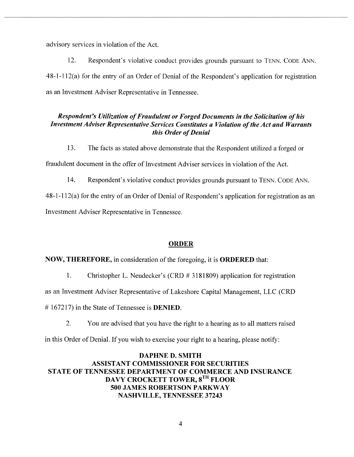advisory services in violation of the Act.

12. Respondent's violative conduct provides grounds pursuant to TENN. CoDE ANN. 48-1-112(a) for the entry of an Order of Denial of the Respondent's application for registration as an Investment Adviser Representative in Tennessee.

### *Respondent's Utilization of Fraudulent or Forged Documents in the Solicitation of his Investment Adviser Representative Services Constitutes a Violation of the Act and Warrants this Order of Denial*

13. The facts as stated above demonstrate that the Respondent utilized a forged or fraudulent document in the offer of Investment Adviser services in violation of the Act.

14. Respondent's violative conduct provides grounds pursuant to TENN. CODE ANN.

48-1-112( a) for the entry of an Order of Denial of Respondent's application for registration as an Investment Adviser Representative in Tennessee.

#### **ORDER**

### **NOW, THEREFORE,** in consideration of the foregoing, it is **ORDERED** that:

1. Christopher L. Neudecker's (CRD # 3181809) application for registration

as an Investment Adviser Representative of Lakeshore Capital Management, LLC (CRD

# 167217) in the State of Tennessee is **DENIED**.

2. You are advised that you have the right to a hearing as to all matters raised

in this Order of Denial. If you wish to exercise your right to a hearing, please notify:

# **DAPHNE D. SMITH ASSISTANT COMMISSIONER FOR SECURITIES STATE OF TENNESSEE DEPARTMENT OF COMMERCE AND INSURANCE DAVY CROCKETT TOWER, 8<sup>TH</sup> FLOOR 500 JAMES ROBERTSON PARKWAY NASHVILLE, TENNESSEE 37243**